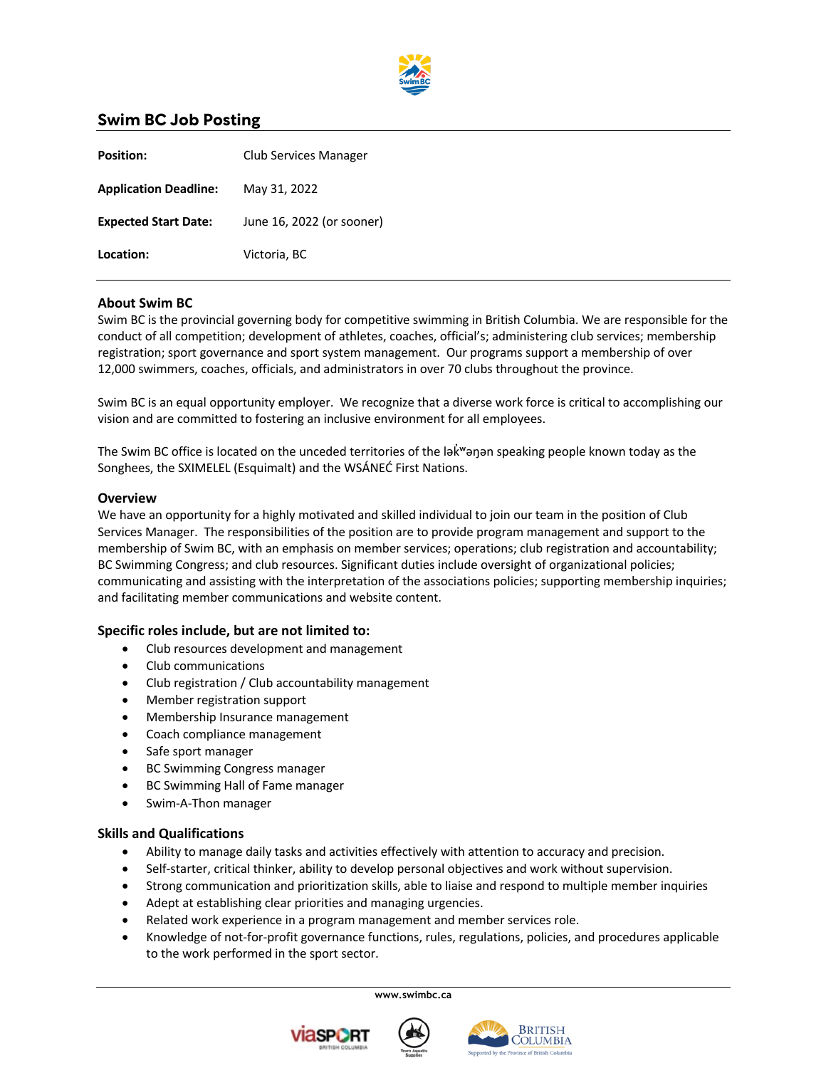

# **Swim BC Job Posting**

| <b>Position:</b>             | Club Services Manager     |
|------------------------------|---------------------------|
| <b>Application Deadline:</b> | May 31, 2022              |
| <b>Expected Start Date:</b>  | June 16, 2022 (or sooner) |
| Location:                    | Victoria, BC              |

## **About Swim BC**

Swim BC is the provincial governing body for competitive swimming in British Columbia. We are responsible for the conduct of all competition; development of athletes, coaches, official's; administering club services; membership registration; sport governance and sport system management. Our programs support a membership of over 12,000 swimmers, coaches, officials, and administrators in over 70 clubs throughout the province.

Swim BC is an equal opportunity employer. We recognize that a diverse work force is critical to accomplishing our vision and are committed to fostering an inclusive environment for all employees.

The Swim BC office is located on the unceded territories of the lak man apeaking people known today as the Songhees, the SXIMELEL (Esquimalt) and the WSÁNEĆ First Nations.

#### **Overview**

We have an opportunity for a highly motivated and skilled individual to join our team in the position of Club Services Manager. The responsibilities of the position are to provide program management and support to the membership of Swim BC, with an emphasis on member services; operations; club registration and accountability; BC Swimming Congress; and club resources. Significant duties include oversight of organizational policies; communicating and assisting with the interpretation of the associations policies; supporting membership inquiries; and facilitating member communications and website content.

### **Specific roles include, but are not limited to:**

- Club resources development and management
- Club communications
- Club registration / Club accountability management
- Member registration support
- Membership Insurance management
- Coach compliance management
- Safe sport manager
- BC Swimming Congress manager
- BC Swimming Hall of Fame manager
- Swim-A-Thon manager

#### **Skills and Qualifications**

- Ability to manage daily tasks and activities effectively with attention to accuracy and precision.
- Self-starter, critical thinker, ability to develop personal objectives and work without supervision.
- Strong communication and prioritization skills, able to liaise and respond to multiple member inquiries
- Adept at establishing clear priorities and managing urgencies.
- Related work experience in a program management and member services role.
- Knowledge of not-for-profit governance functions, rules, regulations, policies, and procedures applicable to the work performed in the sport sector.

**www.swimbc.ca**